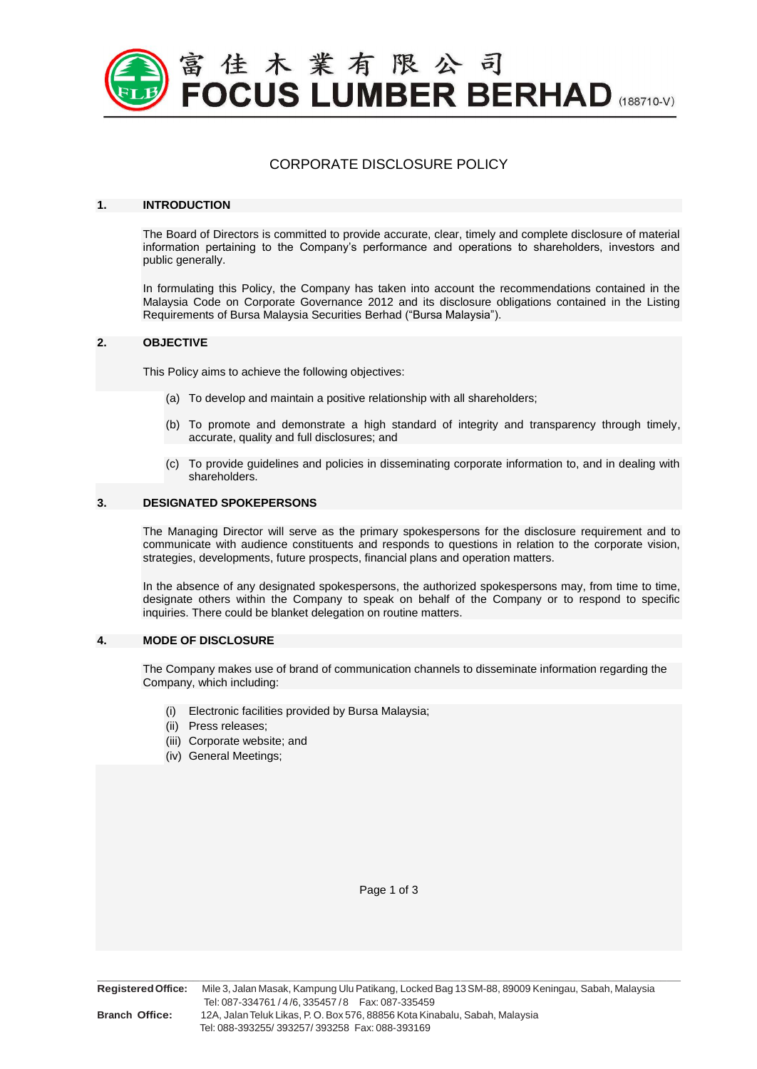

# CORPORATE DISCLOSURE POLICY

#### **1. INTRODUCTION**

The Board of Directors is committed to provide accurate, clear, timely and complete disclosure of material information pertaining to the Company's performance and operations to shareholders, investors and public generally.

In formulating this Policy, the Company has taken into account the recommendations contained in the Malaysia Code on Corporate Governance 2012 and its disclosure obligations contained in the Listing Requirements of Bursa Malaysia Securities Berhad ("Bursa Malaysia").

## **2. OBJECTIVE**

This Policy aims to achieve the following objectives:

- (a) To develop and maintain a positive relationship with all shareholders;
- (b) To promote and demonstrate a high standard of integrity and transparency through timely, accurate, quality and full disclosures; and
- (c) To provide guidelines and policies in disseminating corporate information to, and in dealing with shareholders.

#### **3. DESIGNATED SPOKEPERSONS**

The Managing Director will serve as the primary spokespersons for the disclosure requirement and to communicate with audience constituents and responds to questions in relation to the corporate vision, strategies, developments, future prospects, financial plans and operation matters.

In the absence of any designated spokespersons, the authorized spokespersons may, from time to time, designate others within the Company to speak on behalf of the Company or to respond to specific inquiries. There could be blanket delegation on routine matters.

#### **4. MODE OF DISCLOSURE**

The Company makes use of brand of communication channels to disseminate information regarding the Company, which including:

- (i) Electronic facilities provided by Bursa Malaysia;
- (ii) Press releases;
- (iii) Corporate website; and
- (iv) General Meetings;

Page 1 of 3

**\_\_\_\_\_\_\_\_\_\_\_\_\_\_\_\_\_\_\_\_\_\_\_\_\_\_\_\_\_\_\_\_\_\_\_\_\_\_\_\_\_\_\_\_\_\_\_\_\_\_\_\_\_\_\_\_\_\_\_\_\_\_\_\_\_\_\_\_\_\_\_\_\_\_\_\_\_\_\_\_\_\_\_\_\_**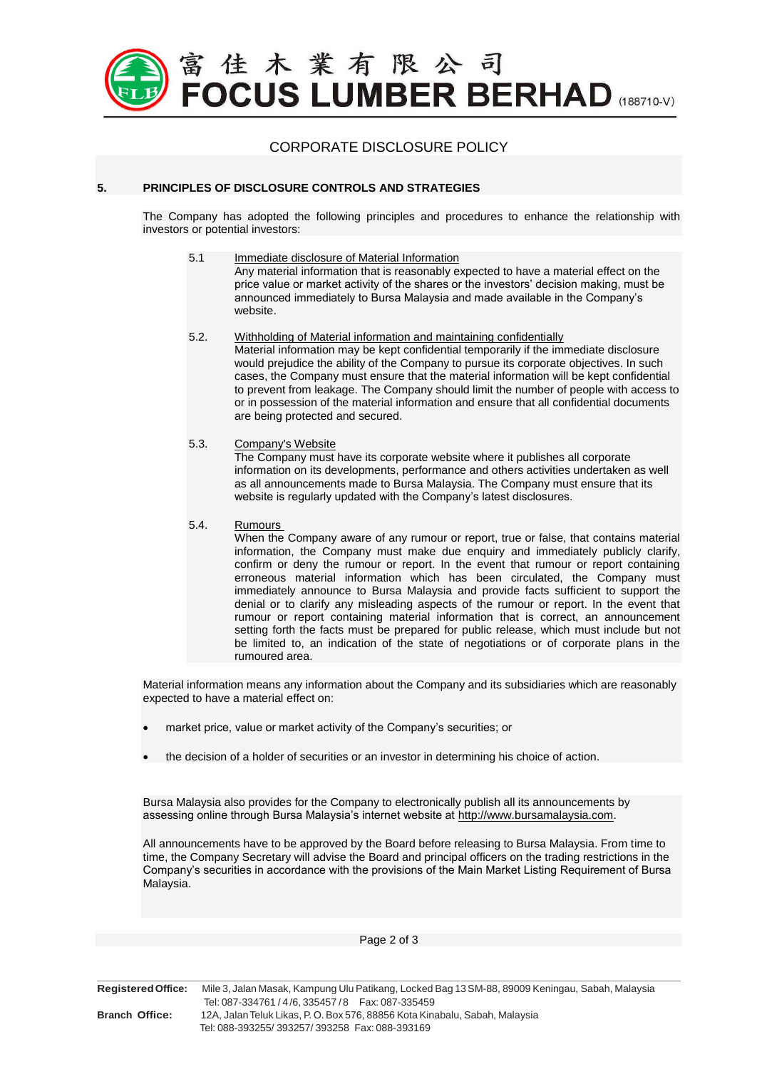

## CORPORATE DISCLOSURE POLICY

### **5. PRINCIPLES OF DISCLOSURE CONTROLS AND STRATEGIES**

The Company has adopted the following principles and procedures to enhance the relationship with investors or potential investors:

- 5.1 Immediate disclosure of Material Information Any material information that is reasonably expected to have a material effect on the price value or market activity of the shares or the investors' decision making, must be announced immediately to Bursa Malaysia and made available in the Company's website.
- 5.2. Withholding of Material information and maintaining confidentially Material information may be kept confidential temporarily if the immediate disclosure would prejudice the ability of the Company to pursue its corporate objectives. In such cases, the Company must ensure that the material information will be kept confidential to prevent from leakage. The Company should limit the number of people with access to or in possession of the material information and ensure that all confidential documents are being protected and secured.
- 5.3. Company's Website

The Company must have its corporate website where it publishes all corporate information on its developments, performance and others activities undertaken as well as all announcements made to Bursa Malaysia. The Company must ensure that its website is regularly updated with the Company's latest disclosures.

5.4. Rumours

When the Company aware of any rumour or report, true or false, that contains material information, the Company must make due enquiry and immediately publicly clarify, confirm or deny the rumour or report. In the event that rumour or report containing erroneous material information which has been circulated, the Company must immediately announce to Bursa Malaysia and provide facts sufficient to support the denial or to clarify any misleading aspects of the rumour or report. In the event that rumour or report containing material information that is correct, an announcement setting forth the facts must be prepared for public release, which must include but not be limited to, an indication of the state of negotiations or of corporate plans in the rumoured area.

Material information means any information about the Company and its subsidiaries which are reasonably expected to have a material effect on:

- market price, value or market activity of the Company's securities; or
- the decision of a holder of securities or an investor in determining his choice of action.

Bursa Malaysia also provides for the Company to electronically publish all its announcements by assessing online through Bursa Malaysia's internet website at [http://www.bursamalaysia.com.](http://www.bursamalaysia.com/)

All announcements have to be approved by the Board before releasing to Bursa Malaysia. From time to time, the Company Secretary will advise the Board and principal officers on the trading restrictions in the Company's securities in accordance with the provisions of the Main Market Listing Requirement of Bursa Malaysia.

| <b>Registered Office:</b> | Mile 3, Jalan Masak, Kampung Ulu Patikang, Locked Bag 13 SM-88, 89009 Keningau, Sabah, Malaysia                              |
|---------------------------|------------------------------------------------------------------------------------------------------------------------------|
|                           | Tel: 087-334761 / 4/6, 335457 / 8   Fax: 087-335459                                                                          |
| <b>Branch Office:</b>     | 12A, Jalan Teluk Likas, P. O. Box 576, 88856 Kota Kinabalu, Sabah, Malaysia<br>Tel: 088-393255/393257/393258 Fax: 088-393169 |
|                           |                                                                                                                              |

Page 2 of 3